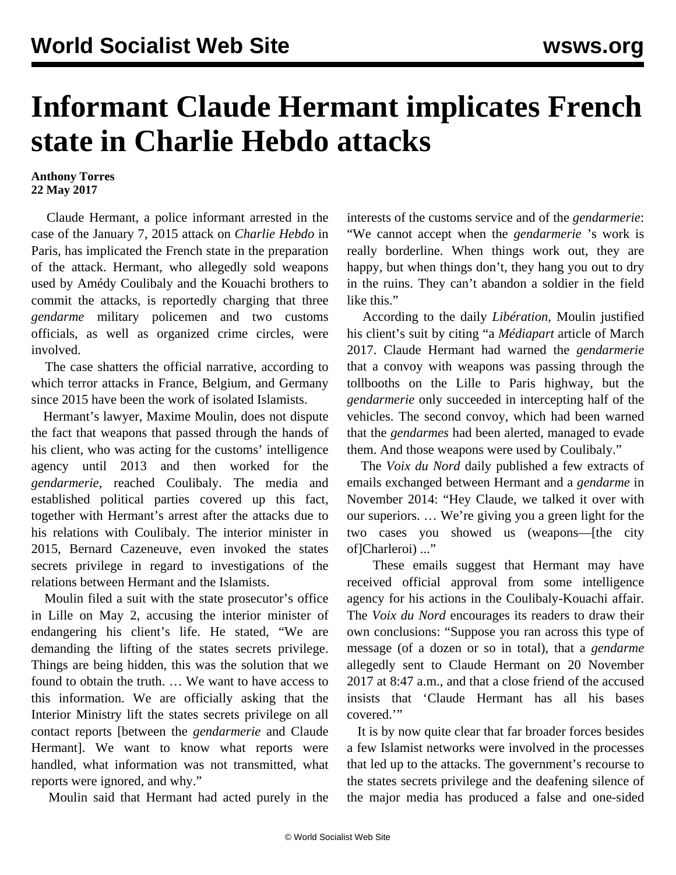## **Informant Claude Hermant implicates French state in Charlie Hebdo attacks**

## **Anthony Torres 22 May 2017**

 Claude Hermant, a police informant arrested in the case of the January 7, 2015 attack on *Charlie Hebdo* in Paris, has implicated the French state in the preparation of the attack. Hermant, who allegedly sold weapons used by Amédy Coulibaly and the Kouachi brothers to commit the attacks, is reportedly charging that three *gendarme* military policemen and two customs officials, as well as organized crime circles, were involved.

 The case shatters the official narrative, according to which terror attacks in France, Belgium, and Germany since 2015 have been the work of isolated Islamists.

 Hermant's lawyer, Maxime Moulin, does not dispute the fact that weapons that passed through the hands of his client, who was acting for the customs' intelligence agency until 2013 and then worked for the *gendarmerie*, reached Coulibaly. The media and established political parties covered up this fact, together with Hermant's arrest after the attacks due to his relations with Coulibaly. The interior minister in 2015, Bernard Cazeneuve, even invoked the states secrets privilege in regard to investigations of the relations between Hermant and the Islamists.

 Moulin filed a suit with the state prosecutor's office in Lille on May 2, accusing the interior minister of endangering his client's life. He stated, "We are demanding the lifting of the states secrets privilege. Things are being hidden, this was the solution that we found to obtain the truth. … We want to have access to this information. We are officially asking that the Interior Ministry lift the states secrets privilege on all contact reports [between the *gendarmerie* and Claude Hermant]. We want to know what reports were handled, what information was not transmitted, what reports were ignored, and why."

Moulin said that Hermant had acted purely in the

interests of the customs service and of the *gendarmerie*: "We cannot accept when the *gendarmerie* 's work is really borderline. When things work out, they are happy, but when things don't, they hang you out to dry in the ruins. They can't abandon a soldier in the field like this."

 According to the daily *Libération*, Moulin justified his client's suit by citing "a *Médiapart* article of March 2017. Claude Hermant had warned the *gendarmerie* that a convoy with weapons was passing through the tollbooths on the Lille to Paris highway, but the *gendarmerie* only succeeded in intercepting half of the vehicles. The second convoy, which had been warned that the *gendarmes* had been alerted, managed to evade them. And those weapons were used by Coulibaly."

 The *Voix du Nord* daily published a few extracts of emails exchanged between Hermant and a *gendarme* in November 2014: "Hey Claude, we talked it over with our superiors. … We're giving you a green light for the two cases you showed us (weapons—[the city of]Charleroi) ..."

 These emails suggest that Hermant may have received official approval from some intelligence agency for his actions in the Coulibaly-Kouachi affair. The *Voix du Nord* encourages its readers to draw their own conclusions: "Suppose you ran across this type of message (of a dozen or so in total), that a *gendarme* allegedly sent to Claude Hermant on 20 November 2017 at 8:47 a.m., and that a close friend of the accused insists that 'Claude Hermant has all his bases covered.'"

 It is by now quite clear that far broader forces besides a few Islamist networks were involved in the processes that led up to the attacks. The government's recourse to the states secrets privilege and the deafening silence of the major media has produced a false and one-sided